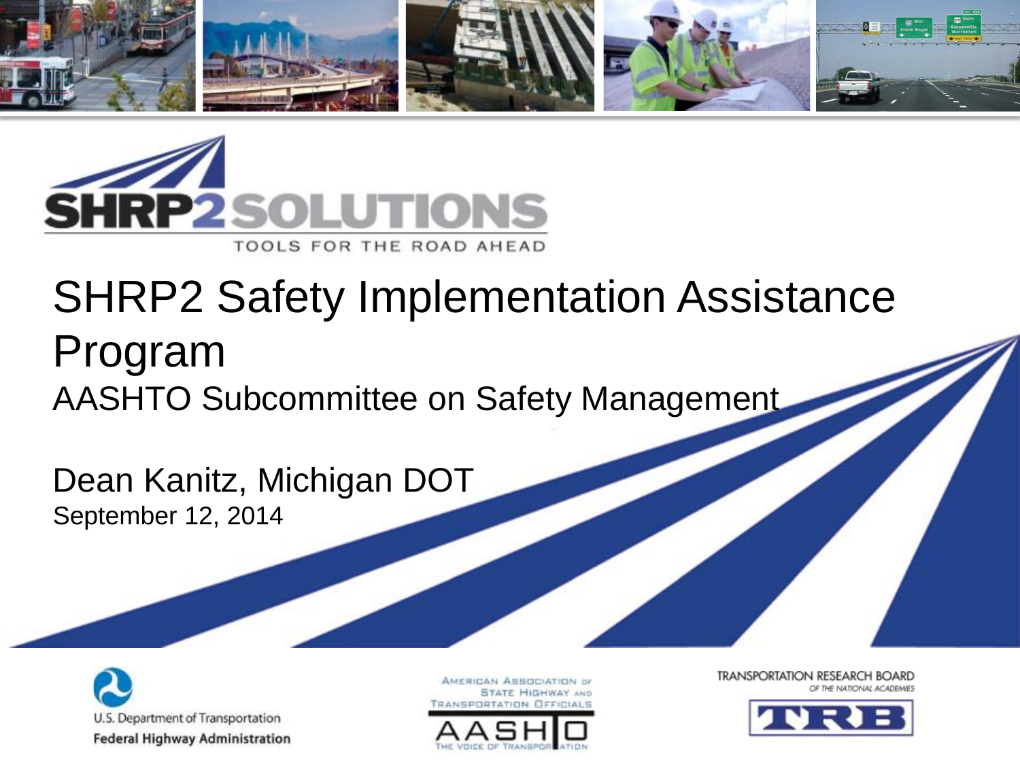



### SHRP2 Safety Implementation Assistance Program AASHTO Subcommittee on Safety Management

Dean Kanitz, Michigan DOT September 12, 2014



AMERICAN ASSOCIATION OF **STATE HIGHWAY AND** 



**TRANSPORTATION RESEARCH BOARD** THE NATIONAL ACADEMIES

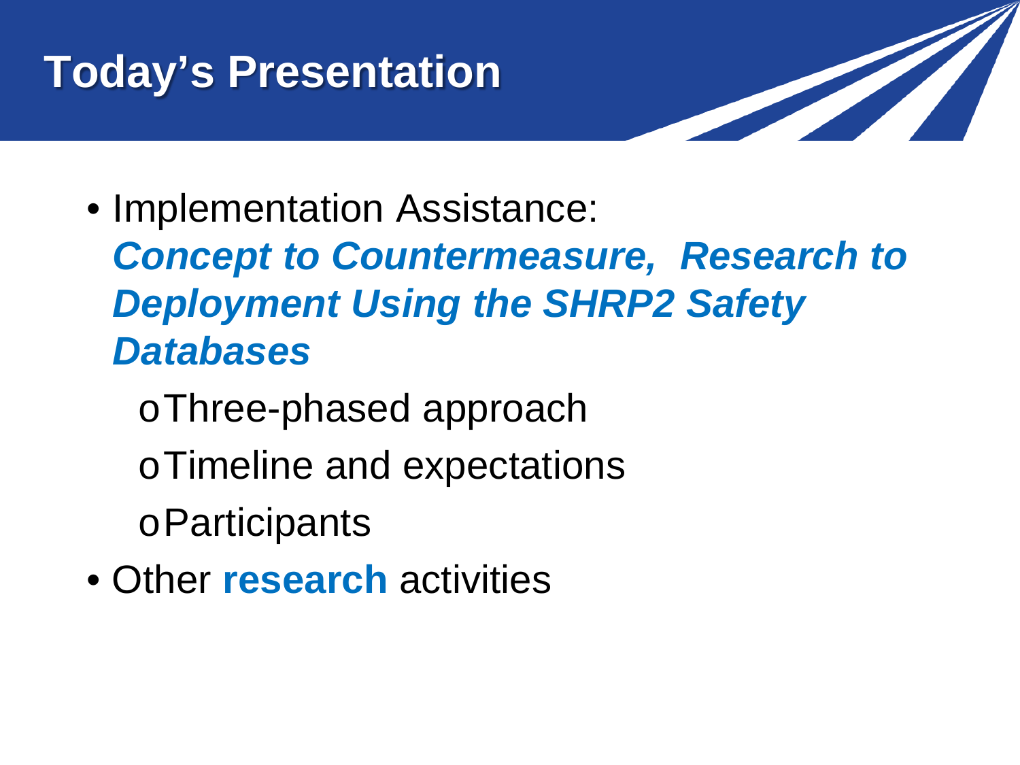# **Today's Presentation**



- Implementation Assistance:
	- *Concept to Countermeasure, Research to Deployment Using the SHRP2 Safety Databases*
		- oThree-phased approach
		- oTimeline and expectations
		- oParticipants
- Other **research** activities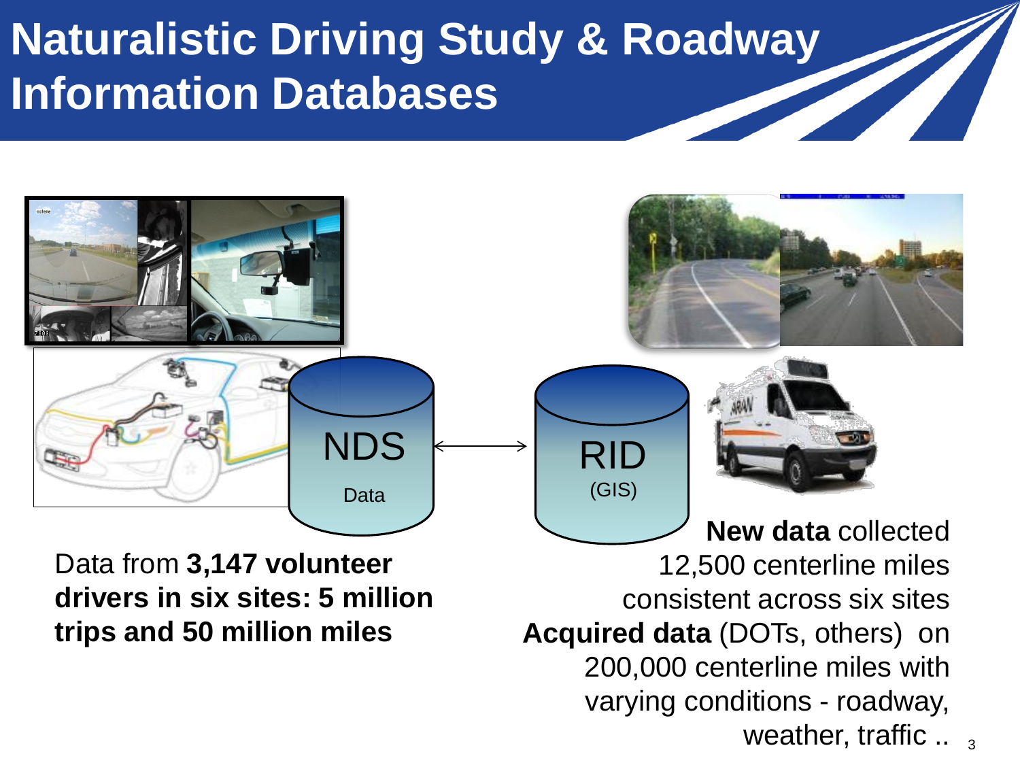### **Naturalistic Driving Study & Roadway Information Databases**



Data from **3,147 volunteer drivers in six sites: 5 million trips and 50 million miles**

**New data** collected 12,500 centerline miles consistent across six sites **Acquired data** (DOTs, others) on 200,000 centerline miles with varying conditions - roadway, weather, traffic  $\ldots$  3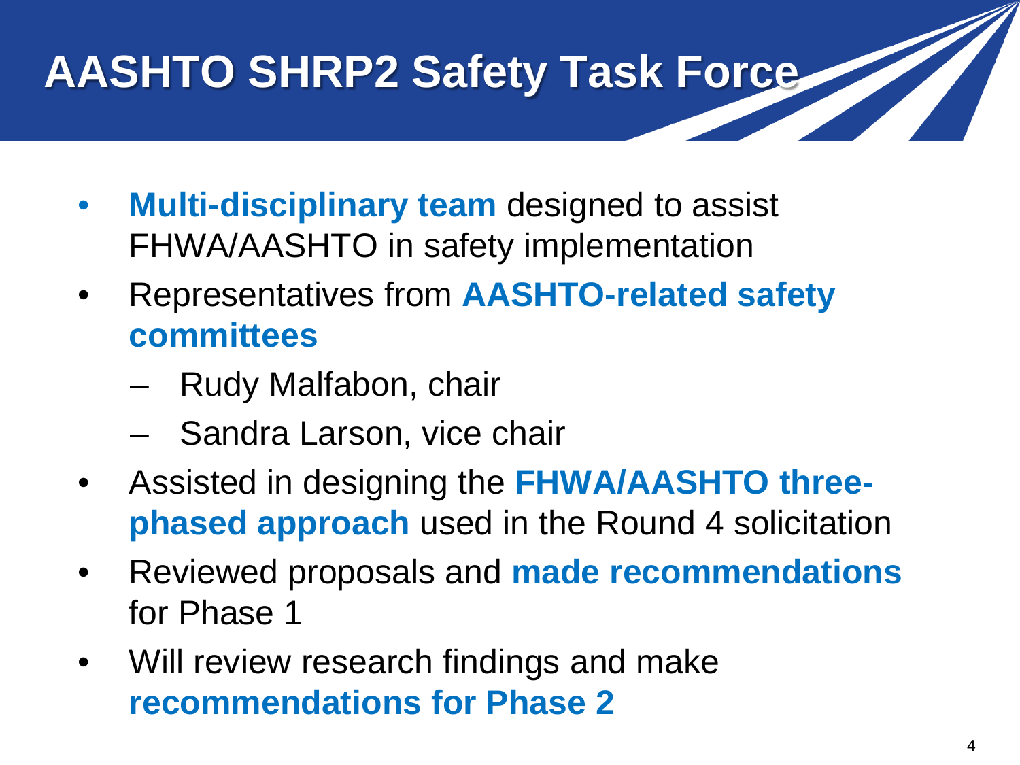# **AASHTO SHRP2 Safety Task Force**

- **Multi-disciplinary team** designed to assist FHWA/AASHTO in safety implementation
- Representatives from **AASHTO-related safety committees**
	- Rudy Malfabon, chair
	- Sandra Larson, vice chair
- Assisted in designing the **FHWA/AASHTO threephased approach** used in the Round 4 solicitation
- Reviewed proposals and **made recommendations**  for Phase 1
- Will review research findings and make **recommendations for Phase 2**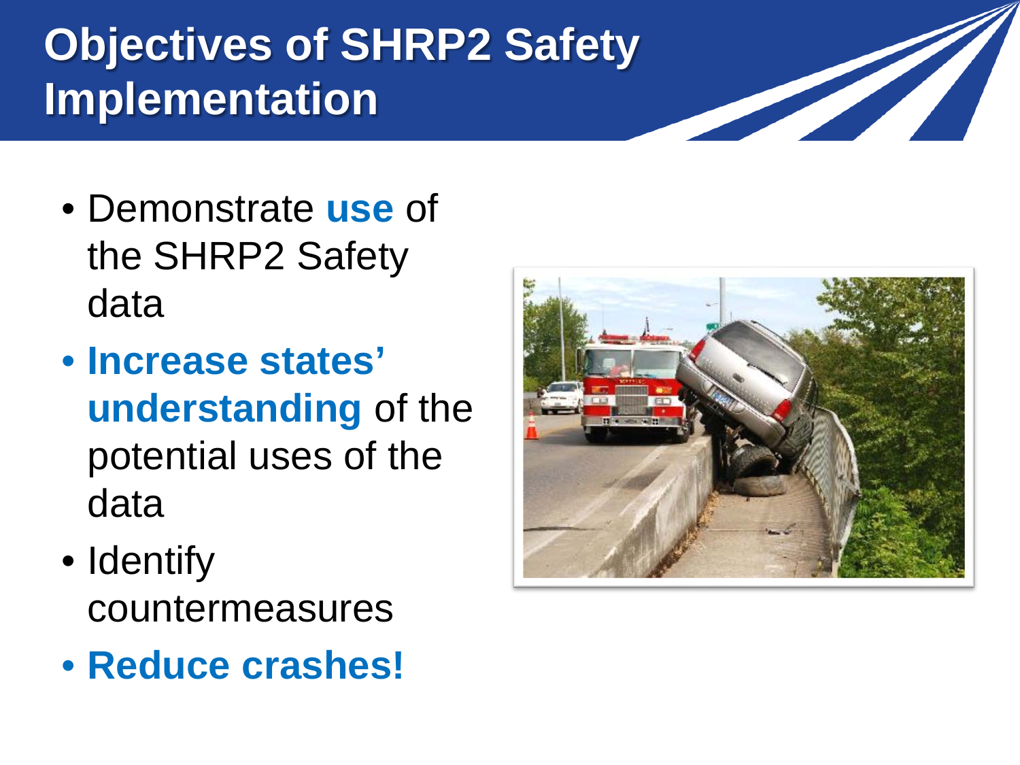# **Objectives of SHRP2 Safety Implementation**

- Demonstrate **use** of the SHRP2 Safety data
- **Increase states' understanding** of the potential uses of the data
- Identify countermeasures
- **Reduce crashes!**



<u>the Communication of the Communication of the Communication of the Communication of the Communication of the Co</u>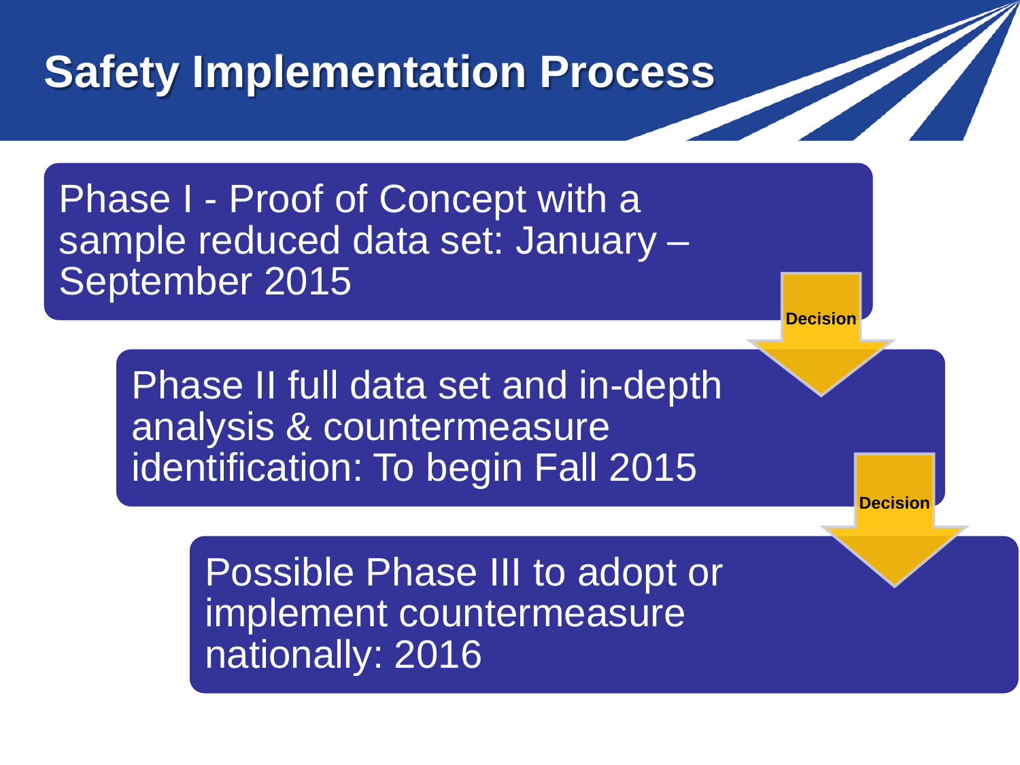### **Safety Implementation Process**

Phase I - Proof of Concept with a sample reduced data set: January – September 2015

> Phase II full data set and in-depth analysis & countermeasure identification: To begin Fall 2015

> > Possible Phase III to adopt or implement countermeasure nationally: 2016

**Decision**

**Decision**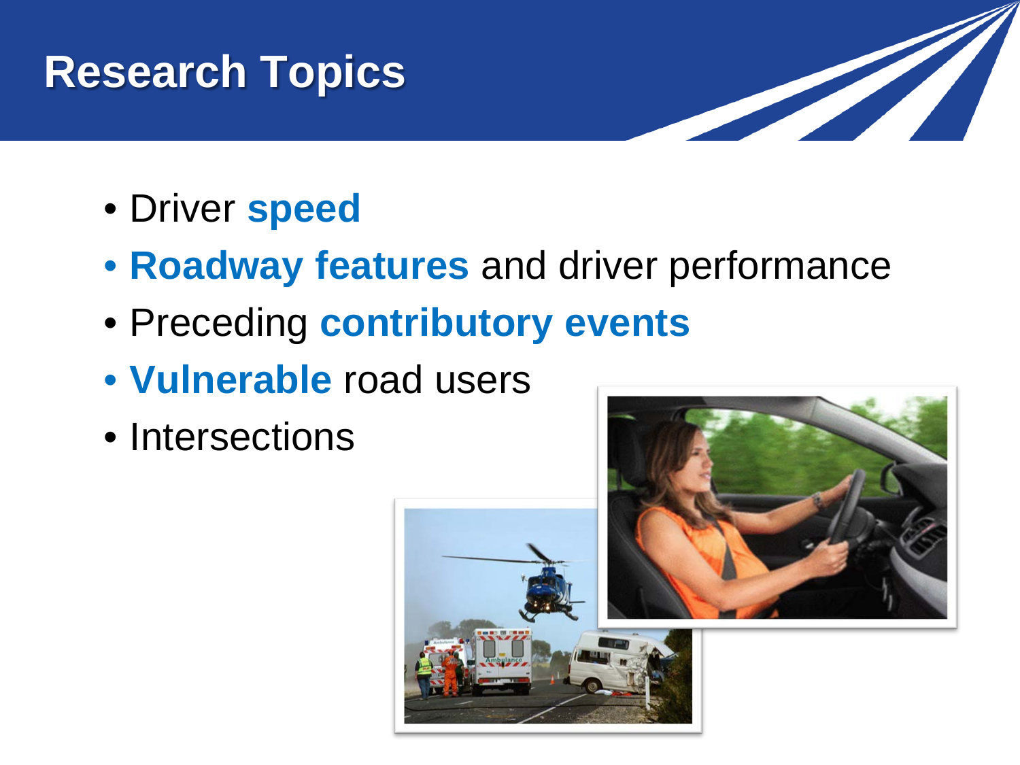### **Research Topics**



- Driver **speed**
- **Roadway features** and driver performance
- Preceding **contributory events**
- **Vulnerable** road users
- Intersections

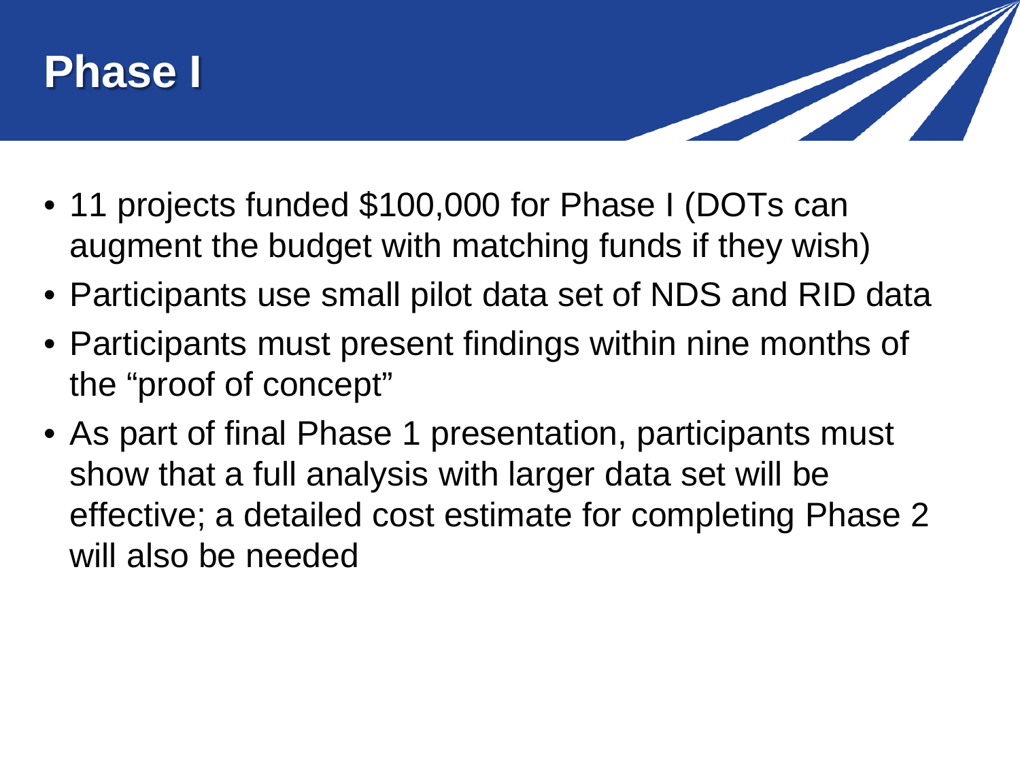



- 11 projects funded \$100,000 for Phase I (DOTs can augment the budget with matching funds if they wish)
- Participants use small pilot data set of NDS and RID data
- Participants must present findings within nine months of the "proof of concept"
- As part of final Phase 1 presentation, participants must show that a full analysis with larger data set will be effective; a detailed cost estimate for completing Phase 2 will also be needed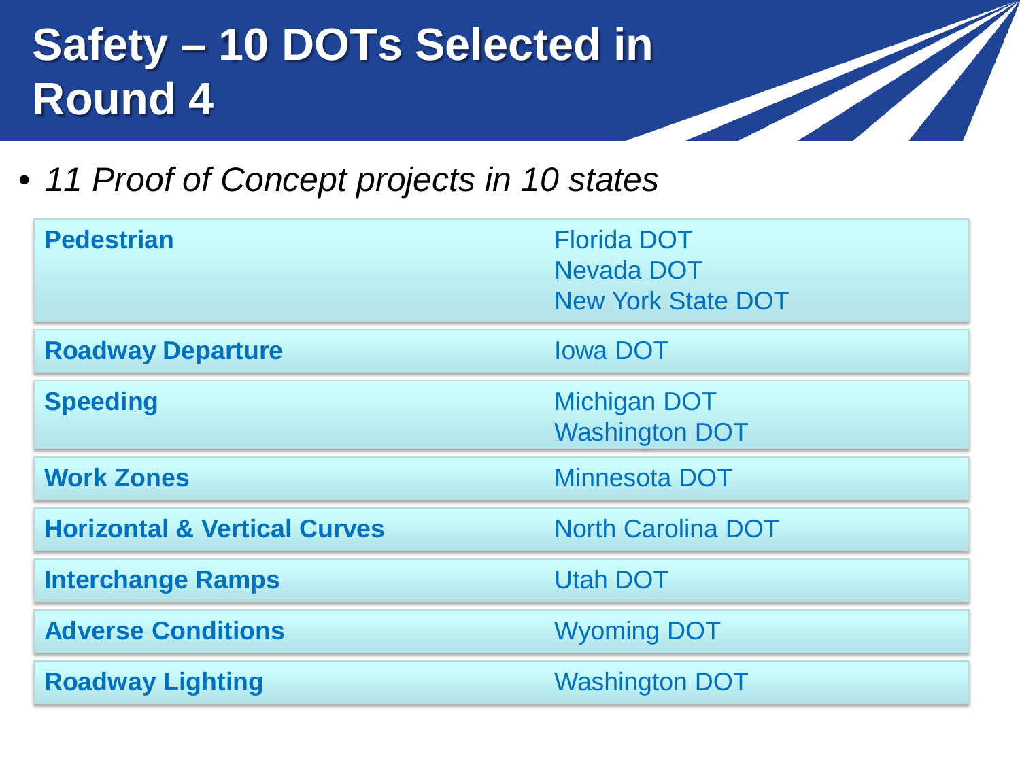### **Safety – 10 DOTs Selected in Round 4**

• *11 Proof of Concept projects in 10 states*

| <b>Pedestrian</b>                       | <b>Florida DOT</b><br>Nevada DOT<br><b>New York State DOT</b> |
|-----------------------------------------|---------------------------------------------------------------|
| <b>Roadway Departure</b>                | <b>lowa DOT</b>                                               |
| <b>Speeding</b>                         | <b>Michigan DOT</b><br><b>Washington DOT</b>                  |
| <b>Work Zones</b>                       | <b>Minnesota DOT</b>                                          |
| <b>Horizontal &amp; Vertical Curves</b> | <b>North Carolina DOT</b>                                     |
| <b>Interchange Ramps</b>                | <b>Utah DOT</b>                                               |
| <b>Adverse Conditions</b>               | <b>Wyoming DOT</b>                                            |
| <b>Roadway Lighting</b>                 | <b>Washington DOT</b>                                         |

<u>a shekara ta 1999 da ga shekara ta 1999 da ga shekara ta 1999 da ga shekara ta 1999 da ga shekara ta 1999 da g</u>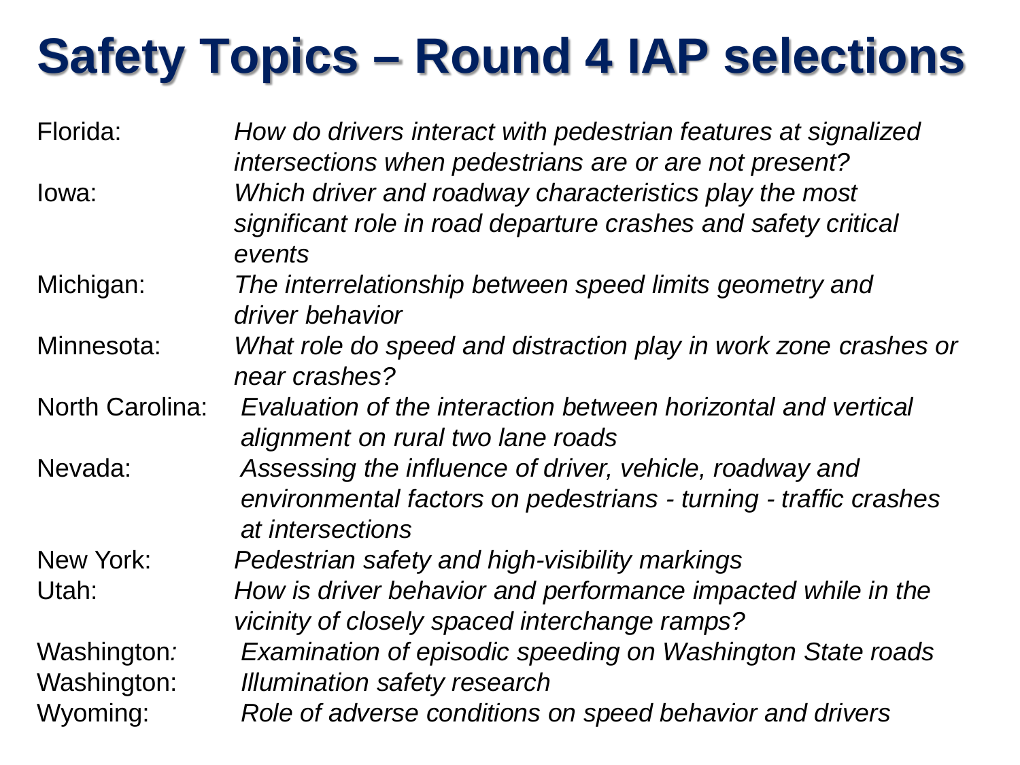# **Safety Topics – Round 4 IAP selections**

| Florida:                   | How do drivers interact with pedestrian features at signalized<br>intersections when pedestrians are or are not present?                        |
|----------------------------|-------------------------------------------------------------------------------------------------------------------------------------------------|
| lowa:                      | Which driver and roadway characteristics play the most<br>significant role in road departure crashes and safety critical<br>events              |
| Michigan:                  | The interrelationship between speed limits geometry and<br>driver behavior                                                                      |
| Minnesota:                 | What role do speed and distraction play in work zone crashes or<br>near crashes?                                                                |
| <b>North Carolina:</b>     | Evaluation of the interaction between horizontal and vertical<br>alignment on rural two lane roads                                              |
| Nevada:                    | Assessing the influence of driver, vehicle, roadway and<br>environmental factors on pedestrians - turning - traffic crashes<br>at intersections |
| New York:                  | Pedestrian safety and high-visibility markings                                                                                                  |
| Utah:                      | How is driver behavior and performance impacted while in the<br>vicinity of closely spaced interchange ramps?                                   |
| Washington:<br>Washington: | Examination of episodic speeding on Washington State roads<br><b>Illumination safety research</b>                                               |
| Wyoming:                   | Role of adverse conditions on speed behavior and drivers                                                                                        |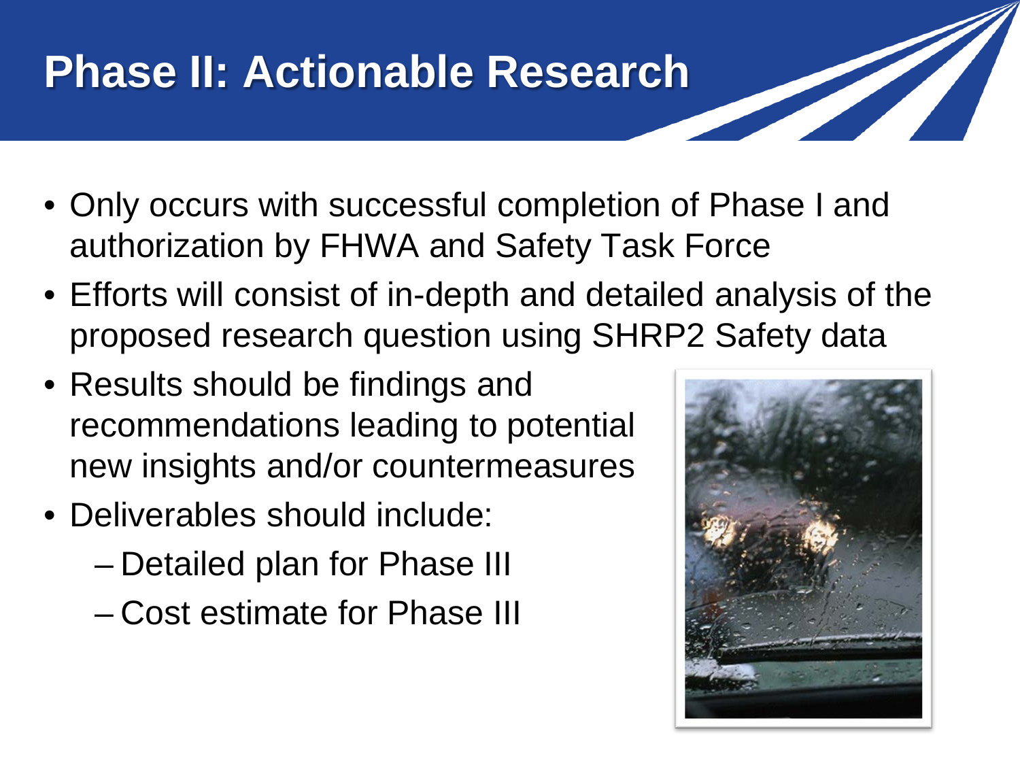# **Phase II: Actionable Research**

- Only occurs with successful completion of Phase I and authorization by FHWA and Safety Task Force
- Efforts will consist of in-depth and detailed analysis of the proposed research question using SHRP2 Safety data
- Results should be findings and recommendations leading to potential new insights and/or countermeasures
- Deliverables should include:
	- Detailed plan for Phase III
	- Cost estimate for Phase III

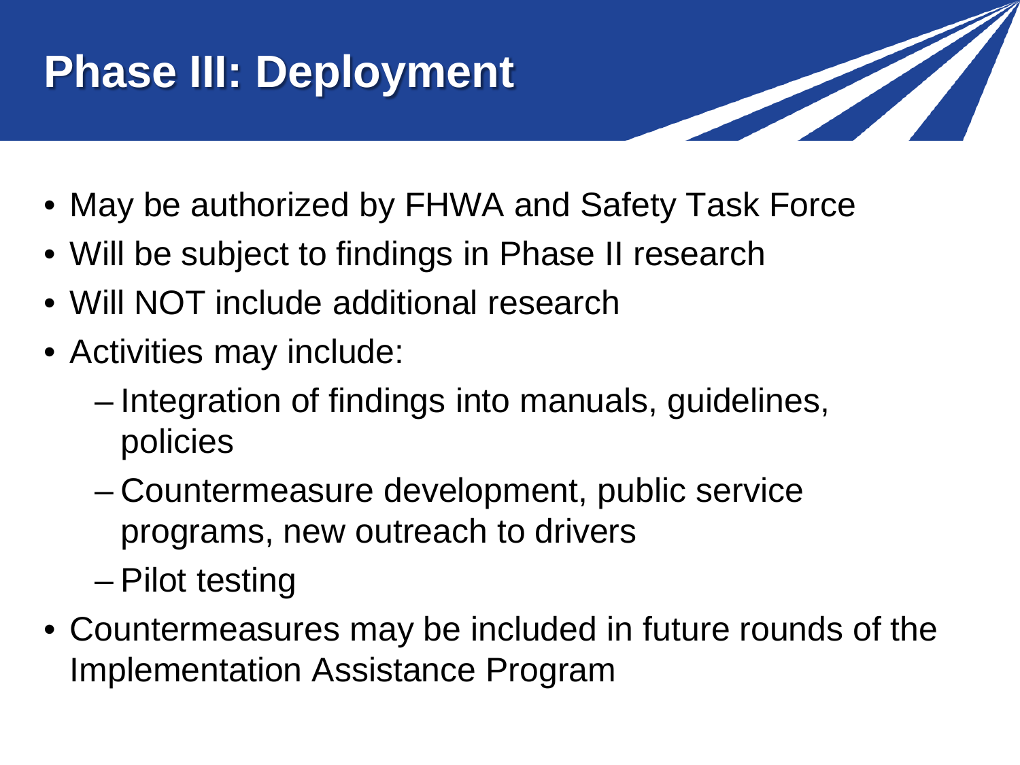# **Phase III: Deployment**

- 
- May be authorized by FHWA and Safety Task Force
- Will be subject to findings in Phase II research
- Will NOT include additional research
- Activities may include:
	- Integration of findings into manuals, guidelines, policies
	- Countermeasure development, public service programs, new outreach to drivers
	- Pilot testing
- Countermeasures may be included in future rounds of the Implementation Assistance Program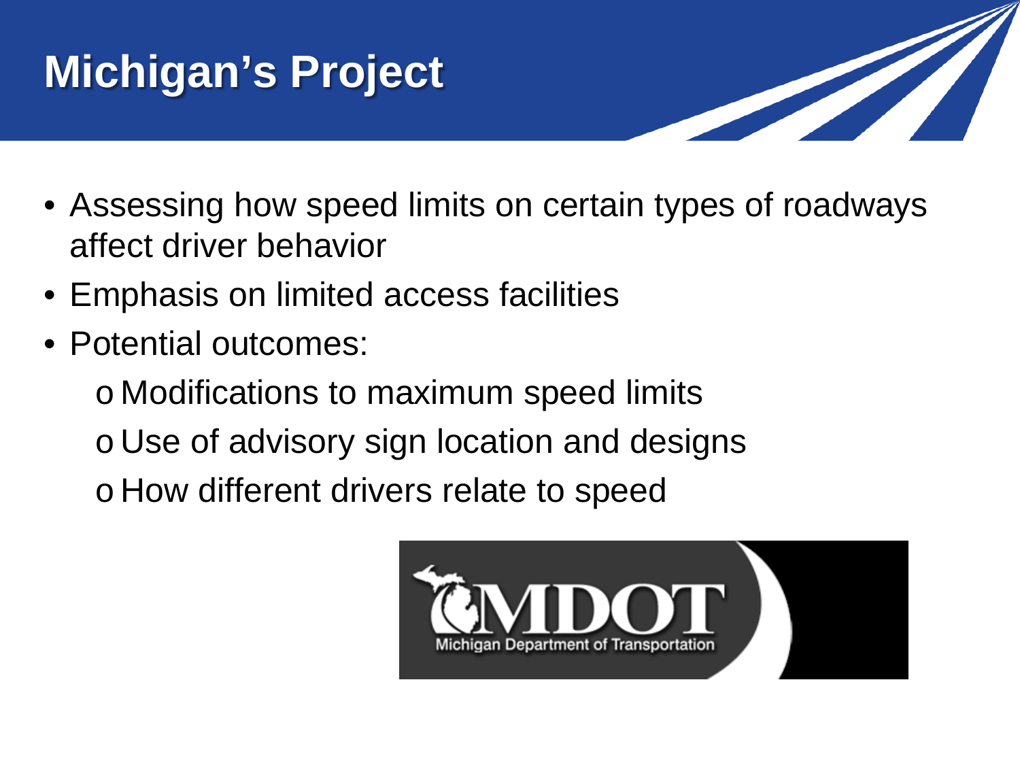# **Michigan's Project**



- Assessing how speed limits on certain types of roadways affect driver behavior
- Emphasis on limited access facilities
- Potential outcomes:

o Modifications to maximum speed limits o Use of advisory sign location and designs o How different drivers relate to speed

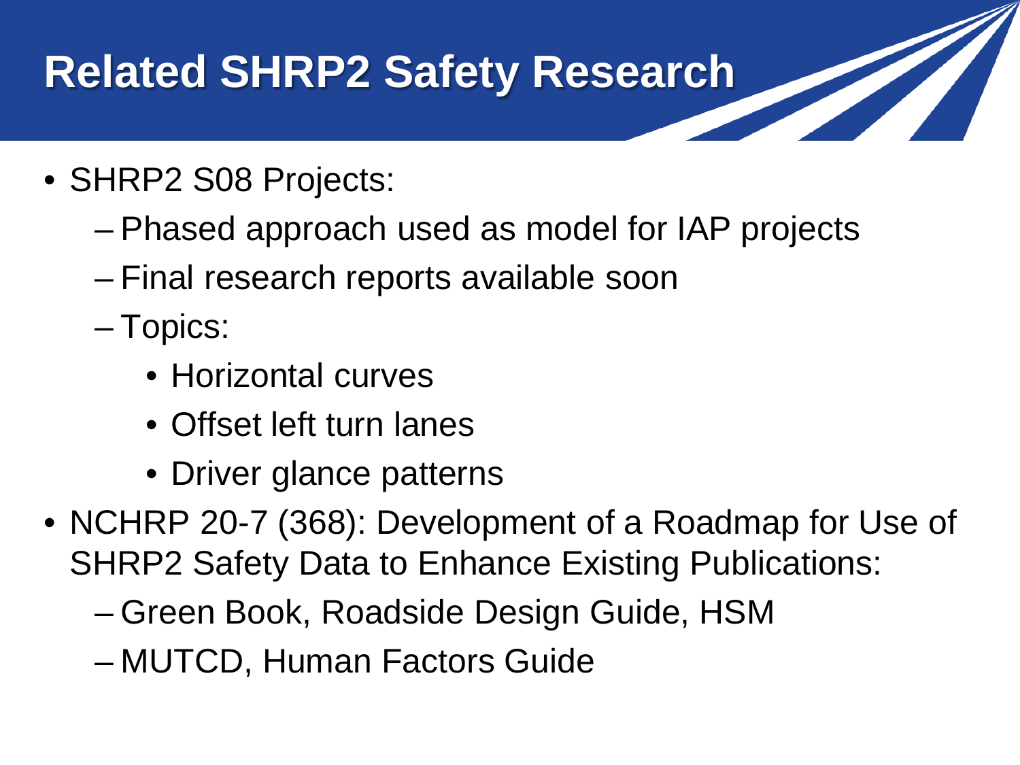# **Related SHRP2 Safety Research**

- SHRP2 S08 Projects:
	- Phased approach used as model for IAP projects
	- Final research reports available soon
	- Topics:
		- Horizontal curves
		- Offset left turn lanes
		- Driver glance patterns
- NCHRP 20-7 (368): Development of a Roadmap for Use of SHRP2 Safety Data to Enhance Existing Publications:
	- Green Book, Roadside Design Guide, HSM
	- MUTCD, Human Factors Guide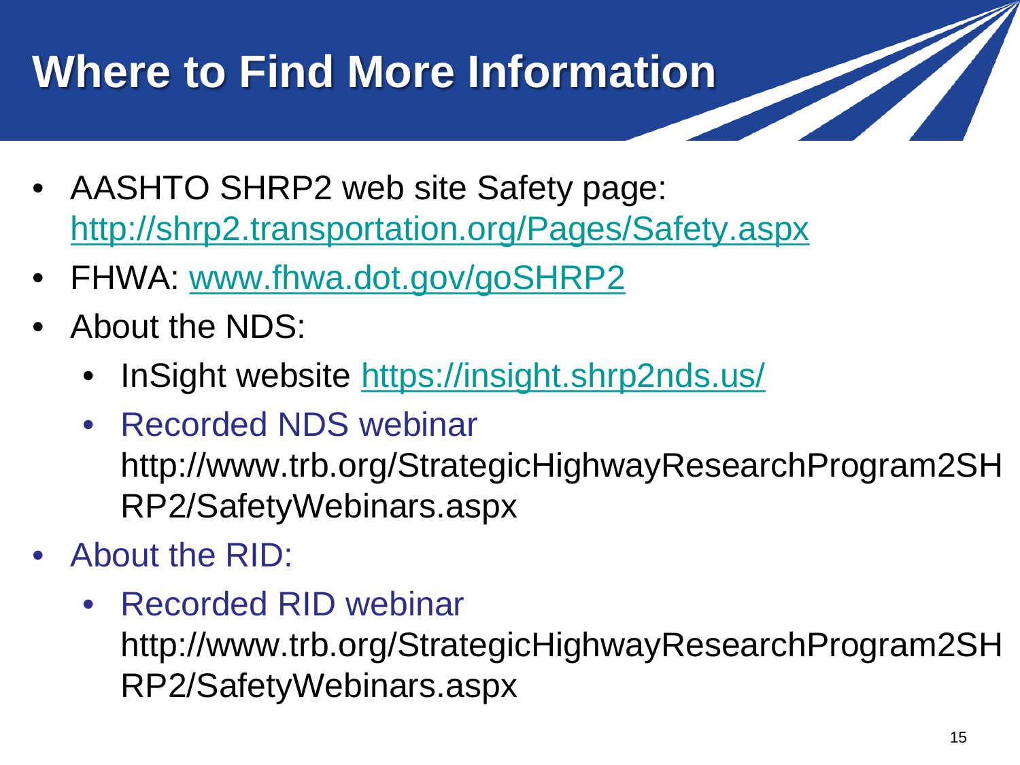# **Where to Find More Information**

- AASHTO SHRP2 web site Safety page: <http://shrp2.transportation.org/Pages/Safety.aspx>
- FHWA: [www.fhwa.dot.gov/goSHRP2](http://www.fhwa.dot.gov/goSHRP2)
- About the NDS:
	- InSight website <https://insight.shrp2nds.us/>
	- Recorded NDS webinar http://www.trb.org/StrategicHighwayResearchProgram2SH RP2/SafetyWebinars.aspx
- About the RID:
	- Recorded RID webinar http://www.trb.org/StrategicHighwayResearchProgram2SH RP2/SafetyWebinars.aspx